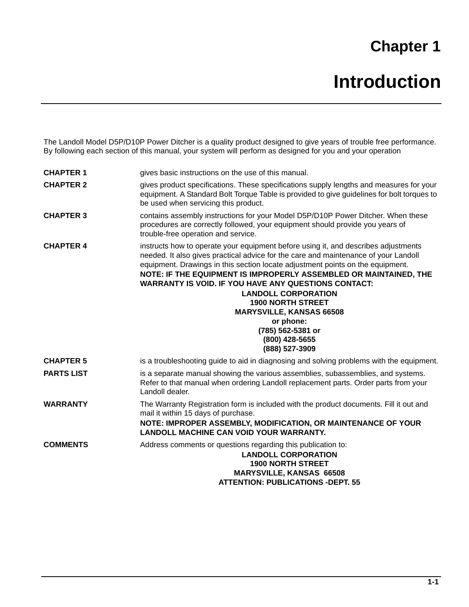## **Chapter 1**

7KH/DQGROO0RGHO333REULWFKHULVDT**NOLWSURGKWGHVLJQHGWRJLYHHDUVRIWURKOHIUHHSHUIRUPDG %BOORZQJHDFKVHFWLRQRIWPEQWORMVVWHPZOOSHUIRUPDVGHVLJQHUGMQG\ RMASHUDWLRQ** 

| <b>CHAPTER 1</b>  | <b>JLYHVEDVLFLQVWUKWLRQVRQWKHXHRIWKLVPDQØO</b>                                                                                                                                                                                                                                                                                                                                                                                                                                                              |
|-------------------|-------------------------------------------------------------------------------------------------------------------------------------------------------------------------------------------------------------------------------------------------------------------------------------------------------------------------------------------------------------------------------------------------------------------------------------------------------------------------------------------------------------|
| <b>CHAPTER 2</b>  | <b>JLYHVSURGKWVSHFLILFDWLRQV7KHVHVSONALSKOOWHQJWKVDQGPHDVMHVIRURM</b><br>HTKSPHQW6WDQGDUG5G0W7RUTM7DEOHLVSURYLGHGWRJLYHJKGHOLQHVIRUEROWW<br>EHXHGKHQVHUYLFLQJWKLVSURGKW                                                                                                                                                                                                                                                                                                                                     |
| <b>CHAPTER 3</b>  | FRQWDLQVDVVHPEOLQVWUKWLR <b>QRGHUR%</b> 3REULWFKHU:KHQWKHVH<br>SURFHGMHVDUHFRUUHFWOIROORMTONSMPHQWVKRMOGSURYLGHRMDUVRI<br><b>WURKOHIUHHRSHUDWLRQDQGVHUYLFH</b>                                                                                                                                                                                                                                                                                                                                              |
| <b>CHAPTER 4</b>  | LQVWUKWVKRWRRSHUDWHRMHTKSPHQWEHIRUHXLQJLWDQGGHVFULEHVDGMXWPI<br>QHHGHG,WDOVRJLYHVSUDFWLFDODGYLFHIRUWKHFDUHDQGPDLQWHQDQFHRIRM/D<br><b>HTKSPHQWUDZQJVLQWKLVVHFWLRQORFDWHDGMXWPHQWSRLQWVRQWKHHTKSPH</b><br>NOTE: IF THE EQUIPMENT IS IMPROPERLY ASSEMBLED OR MAINTAINED, THE<br><b>WARRANTY IS VOID. IF YOU HAVE ANY QUESTIONS CONTACT:</b><br><b>LANDOLL CORPORATION</b><br><b>1900 NORTH STREET</b><br><b>MARYSVILLE, KANSAS 66508</b><br>or phone:<br>(785) 562-5381 or<br>(800) 428-5655<br>(888) 527-3909 |
| <b>CHAPTER 5</b>  | LVDWURKOHVKRRWLQJJKGHWRDLGILQQDQLQRROYLQJSUREOHPVEWKWKHHTKSPHO                                                                                                                                                                                                                                                                                                                                                                                                                                              |
| <b>PARTS LIST</b> | LVDVHSDUDWHPDQMOVKRZQJWKH <b>YDWLRM</b> EOLHVVKDVVHPEOLHVDQGVVWHPV<br>5HIHUWRWKDWPDQ <b>R</b> OKHQRUGHULQJ/DQGROOUHSODFHPHQWSDUWV2UGHUSDUW<br><b>/DQGROOGHDOHU</b>                                                                                                                                                                                                                                                                                                                                          |
| <b>WARRANTY</b>   | 7KH:DUUDQW5HJLVWUDWLEXQLR@BBGHGZWWKHSURGKVF@RQWV)LOOLWRWDQG<br>PDLOLWEWKLQGDVRISMFKDVH<br>NOTE: IMPROPER ASSEMBLY, MODIFICATION, OR MAINTENANCE OF YOUR<br><b>LANDOLL MACHINE CAN VOID YOUR WARRANTY.</b>                                                                                                                                                                                                                                                                                                   |
| <b>COMMENTS</b>   | <b>GGUHVVFRPPHQWVRUTMVWLRQVUHJDUGLQJWKLVSKOLFDWLRQWR</b><br><b>LANDOLL CORPORATION</b><br><b>1900 NORTH STREET</b><br><b>MARYSVILLE, KANSAS 66508</b><br><b>ATTENTION: PUBLICATIONS -DEPT, 55</b>                                                                                                                                                                                                                                                                                                           |
|                   |                                                                                                                                                                                                                                                                                                                                                                                                                                                                                                             |